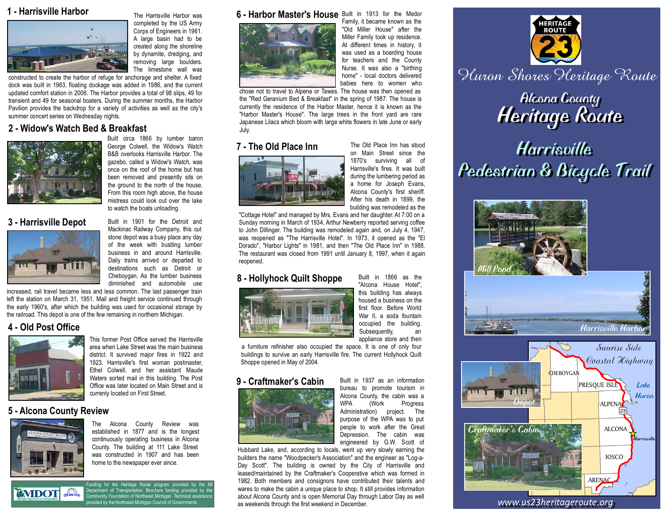# **1 - Harrisville Harbor** The Harrisville Harbor was



completed by the US Army Corps of Engineers in 1961. A large basin had to be created along the shoreline by dynamite, dredging, and removing large boulders. The limestone wall was

constructed to create the harbor of refuge for anchorage and shelter. A fixed dock was built in 1963, floating dockage was added in 1986, and the current updated comfort station in 2006. The Harbor provides a total of 98 slips, 49 for transient and 49 for seasonal boaters. During the summer months, the Harbor Pavilion provides the backdrop for a variety of activities as well as the city's summer concert series on Wednesday nights.

# **2 - Widow's Watch Bed & Breakfast**



Built circa 1866 by lumber baron George Colwell, the Widow's Watch B&B overlooks Harrisville Harbor. The gazebo, called a Widow's Watch, was once on the roof of the home but has been removed and presently sits on the ground to the north of the house. From this room high above, the house mistress could look out over the lake to watch the boats unloading.



3 - Harrisville Depot Built in 1901 for the Detroit and Mackinac Railway Company, this cut stone depot was a busy place any day of the week with bustling lumber business in and around Harrisville. Daily trains arrived or departed to destinations such as Detroit or Cheboygan. As the lumber business diminished and automobile use

increased, rail travel became less and less common. The last passenger train left the station on March 31, 1951. Mail and freight service continued through the early 1960's, after which the building was used for occasional storage by the railroad. This depot is one of the few remaining in northern Michigan.

# **4 - Old Post Office**



This former Post Office served the Harrisville area when Lake Street was the main business district. It survived major fires in 1922 and 1923. Harrisville's first woman postmaster, Ethel Colwell, and her assistant Maude Waters sorted mail in this building. The Post Office was later located on Main Street and is currenly located on First Street.

# **5 - Alcona County Review**



The Alcona County Review was established in 1877 and is the longest continuously operating business in Alcona County. The building at 111 Lake Street was constructed in 1907 and has been home to the newspaper ever since.



Funding for the Heritage Route program provided by the MI Department of Transportation. Brochure funding provided by the Community Foundation of Northeast Michigan. Technical assistance vided by the Northeast Michigan Council of Govern

#### **6 - Harbor Master's House** Built in 1913 for the Medor



Family, it became known as the "Old Miller House" after the Miller Family took up residence. At different times in history, it was used as a boarding house for teachers and the County Nurse. It was also a "birthing home" - local doctors delivered babies here to women who chose not to travel to Alpena or Tawas. The house was then opened as

the "Red Geranium Bed & Breakfast" in the spring of 1987. The house is currently the residence of the Harbor Master, hence it is known as the "Harbor Master's House". The large trees in the front yard are rare Japanese Lilacs which bloom with large white flowers in late June or early July.

## **7 - The Old Place Inn** The Old Place Inn has stood



on Main Street since the 1870's surviving all of Harrisville's fires. It was built during the lumbering period as a home for Joseph Evans, Alcona County's first sheriff. After his death in 1899, the building was remodeled as the

"Cottage Hotel" and managed by Mrs. Evans and her daughter. At 7:00 on a Sunday morning in March of 1934, Arthur Newberry reported serving coffee to John Dillinger. The building was remodeled again and, on July 4, 1947, was reopened as "The Harrisville Hotel". In 1973, it opened as the "El Dorado", "Harbor Lights" in 1981, and then "The Old Place Inn" in 1988. The restaurant was closed from 1991 until January 8, 1997, when it again reopened.

## 8 - Hollyhock Quilt Shoppe Built in 1866 as the



"Alcona House Hotel", this building has always housed a business on the first floor. Before World War II, a soda fountain occupied the building. Subsequently, an appliance store and then

a furniture refinisher also occupied the space. It is one of only four buildings to survive an early Harrisville fire. The current Hollyhock Quilt Shoppe opened in May of 2004.

### **9 - Craftmaker's Cabin** Built in 1937 as an information



bureau to promote tourism in Alcona County, the cabin was a<br>WPA (Work Progress (Work Progress Administration) project. The purpose of the WPA was to put people to work after the Great Depression. The cabin was engineered by G.W. Scott of

Hubbard Lake, and, according to locals, went up very slowly earning the builders the name "Woodpecker's Association" and the engineer as "Log-a-Day Scott". The building is owned by the City of Harrisville and leased/maintained by the Craftmaker's Cooperative which was formed in 1982. Both members and consignors have contributed their talents and wares to make the cabin a unique place to shop. It still provides information about Alcona County and is open Memorial Day through Labor Day as well as weekends through the first weekend in December.





*www.us23heritageroute.org www.us23heritageroute.org*